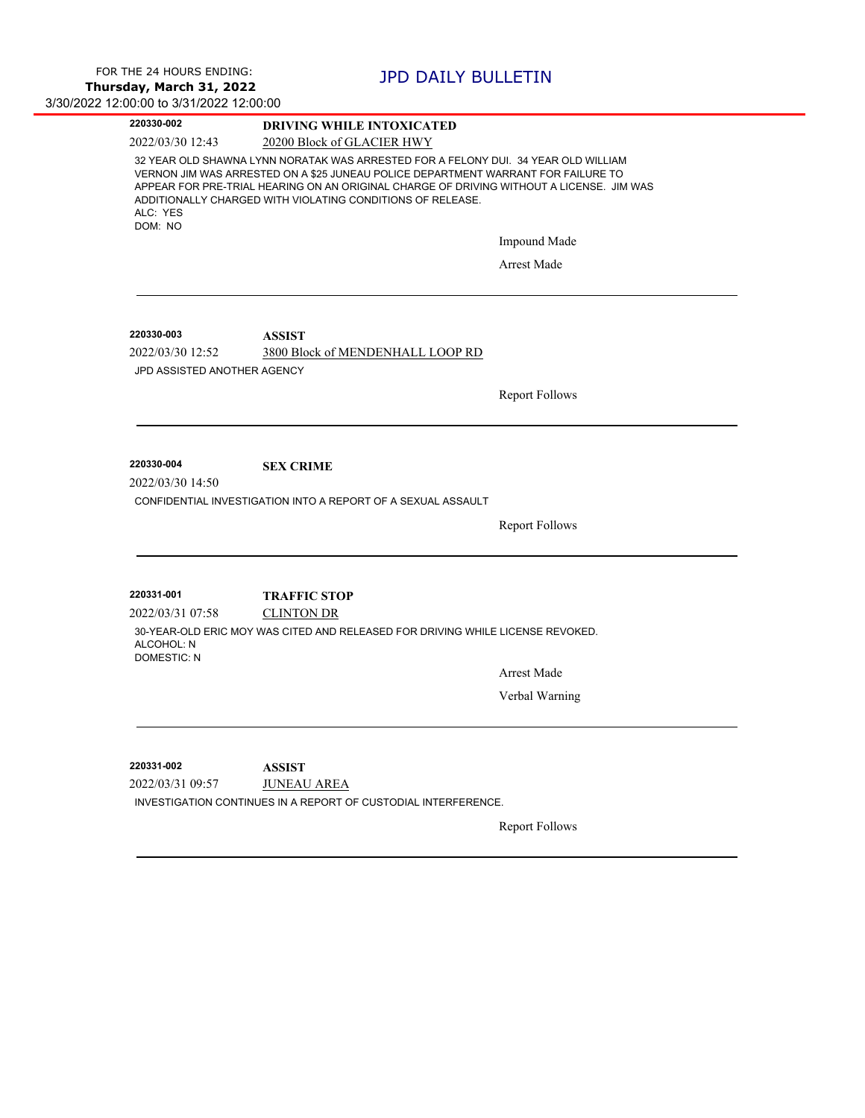| 220330-002                                      | <b>DRIVING WHILE INTOXICATED</b>                                                                                                                                                                                                                                                                                                  |  |  |
|-------------------------------------------------|-----------------------------------------------------------------------------------------------------------------------------------------------------------------------------------------------------------------------------------------------------------------------------------------------------------------------------------|--|--|
| 2022/03/30 12:43                                | 20200 Block of GLACIER HWY                                                                                                                                                                                                                                                                                                        |  |  |
| ALC: YES                                        | 32 YEAR OLD SHAWNA LYNN NORATAK WAS ARRESTED FOR A FELONY DUI. 34 YEAR OLD WILLIAM<br>VERNON JIM WAS ARRESTED ON A \$25 JUNEAU POLICE DEPARTMENT WARRANT FOR FAILURE TO<br>APPEAR FOR PRE-TRIAL HEARING ON AN ORIGINAL CHARGE OF DRIVING WITHOUT A LICENSE. JIM WAS<br>ADDITIONALLY CHARGED WITH VIOLATING CONDITIONS OF RELEASE. |  |  |
| DOM: NO                                         | Impound Made                                                                                                                                                                                                                                                                                                                      |  |  |
|                                                 |                                                                                                                                                                                                                                                                                                                                   |  |  |
|                                                 | Arrest Made                                                                                                                                                                                                                                                                                                                       |  |  |
| 220330-003                                      | <b>ASSIST</b>                                                                                                                                                                                                                                                                                                                     |  |  |
| 2022/03/30 12:52<br>JPD ASSISTED ANOTHER AGENCY | 3800 Block of MENDENHALL LOOP RD                                                                                                                                                                                                                                                                                                  |  |  |
|                                                 | <b>Report Follows</b>                                                                                                                                                                                                                                                                                                             |  |  |
|                                                 |                                                                                                                                                                                                                                                                                                                                   |  |  |
| 220330-004<br>2022/03/30 14:50                  | <b>SEX CRIME</b><br>CONFIDENTIAL INVESTIGATION INTO A REPORT OF A SEXUAL ASSAULT<br><b>Report Follows</b>                                                                                                                                                                                                                         |  |  |
|                                                 |                                                                                                                                                                                                                                                                                                                                   |  |  |
| 220331-001                                      | <b>TRAFFIC STOP</b>                                                                                                                                                                                                                                                                                                               |  |  |
| ALCOHOL: N<br><b>DOMESTIC: N</b>                | <b>CLINTON DR</b><br>30-YEAR-OLD ERIC MOY WAS CITED AND RELEASED FOR DRIVING WHILE LICENSE REVOKED.                                                                                                                                                                                                                               |  |  |
|                                                 | <b>Arrest Made</b>                                                                                                                                                                                                                                                                                                                |  |  |
| 2022/03/31 07:58                                | Verbal Warning                                                                                                                                                                                                                                                                                                                    |  |  |
|                                                 |                                                                                                                                                                                                                                                                                                                                   |  |  |
| 220331-002<br>2022/03/31 09:57                  | <b>ASSIST</b><br><b>JUNEAU AREA</b><br>INVESTIGATION CONTINUES IN A REPORT OF CUSTODIAL INTERFERENCE.                                                                                                                                                                                                                             |  |  |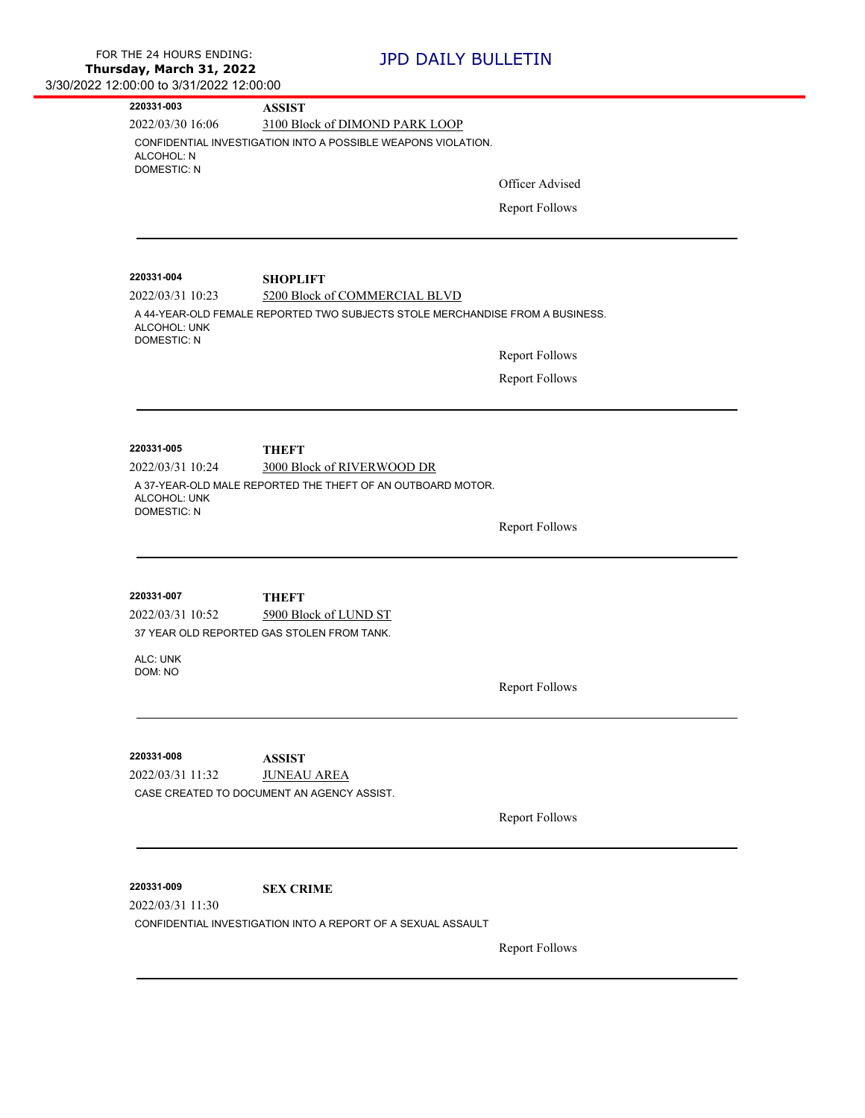| 00.00 to 0,0 1,4044 T4.00.00                                 |                                                                                           |                       |  |  |  |
|--------------------------------------------------------------|-------------------------------------------------------------------------------------------|-----------------------|--|--|--|
| 220331-003                                                   | <b>ASSIST</b>                                                                             |                       |  |  |  |
| 2022/03/30 16:06                                             | 3100 Block of DIMOND PARK LOOP                                                            |                       |  |  |  |
| ALCOHOL: N<br><b>DOMESTIC: N</b>                             | CONFIDENTIAL INVESTIGATION INTO A POSSIBLE WEAPONS VIOLATION.                             |                       |  |  |  |
|                                                              |                                                                                           | Officer Advised       |  |  |  |
|                                                              |                                                                                           | <b>Report Follows</b> |  |  |  |
|                                                              |                                                                                           |                       |  |  |  |
| 220331-004                                                   |                                                                                           |                       |  |  |  |
| 2022/03/31 10:23                                             | <b>SHOPLIFT</b><br>5200 Block of COMMERCIAL BLVD                                          |                       |  |  |  |
| ALCOHOL: UNK<br><b>DOMESTIC: N</b>                           | A 44-YEAR-OLD FEMALE REPORTED TWO SUBJECTS STOLE MERCHANDISE FROM A BUSINESS.             |                       |  |  |  |
|                                                              |                                                                                           | <b>Report Follows</b> |  |  |  |
|                                                              |                                                                                           | <b>Report Follows</b> |  |  |  |
|                                                              |                                                                                           |                       |  |  |  |
| 220331-005<br>2022/03/31 10:24                               | <b>THEFT</b>                                                                              |                       |  |  |  |
|                                                              | 3000 Block of RIVERWOOD DR<br>A 37-YEAR-OLD MALE REPORTED THE THEFT OF AN OUTBOARD MOTOR. |                       |  |  |  |
| ALCOHOL: UNK                                                 |                                                                                           |                       |  |  |  |
| <b>DOMESTIC: N</b>                                           |                                                                                           |                       |  |  |  |
|                                                              |                                                                                           | <b>Report Follows</b> |  |  |  |
|                                                              |                                                                                           |                       |  |  |  |
| 220331-007                                                   | <b>THEFT</b>                                                                              |                       |  |  |  |
| 2022/03/31 10:52                                             | 5900 Block of LUND ST                                                                     |                       |  |  |  |
|                                                              | 37 YEAR OLD REPORTED GAS STOLEN FROM TANK.                                                |                       |  |  |  |
| ALC: UNK                                                     |                                                                                           |                       |  |  |  |
| DOM: NO                                                      |                                                                                           | <b>Report Follows</b> |  |  |  |
|                                                              |                                                                                           |                       |  |  |  |
|                                                              |                                                                                           |                       |  |  |  |
| 220331-008                                                   | <b>ASSIST</b>                                                                             |                       |  |  |  |
| 2022/03/31 11:32                                             | <b>JUNEAU AREA</b><br>CASE CREATED TO DOCUMENT AN AGENCY ASSIST.                          |                       |  |  |  |
|                                                              |                                                                                           |                       |  |  |  |
|                                                              |                                                                                           | <b>Report Follows</b> |  |  |  |
| 220331-009                                                   | <b>SEX CRIME</b>                                                                          |                       |  |  |  |
| 2022/03/31 11:30                                             |                                                                                           |                       |  |  |  |
| CONFIDENTIAL INVESTIGATION INTO A REPORT OF A SEXUAL ASSAULT |                                                                                           |                       |  |  |  |
|                                                              |                                                                                           | <b>Report Follows</b> |  |  |  |
|                                                              |                                                                                           |                       |  |  |  |
|                                                              |                                                                                           |                       |  |  |  |